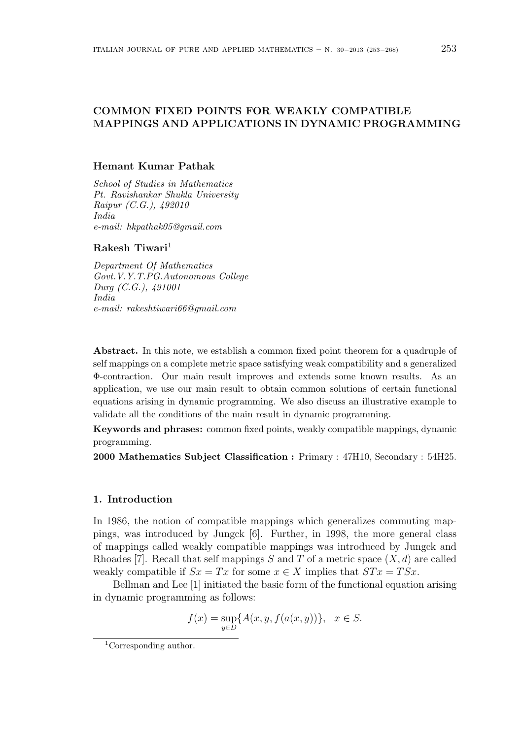# **COMMON FIXED POINTS FOR WEAKLY COMPATIBLE MAPPINGS AND APPLICATIONS IN DYNAMIC PROGRAMMING**

## **Hemant Kumar Pathak**

*School of Studies in Mathematics Pt. Ravishankar Shukla University Raipur (C.G.), 492010 India e-mail: hkpathak05@gmail.com*

#### **Rakesh Tiwari**<sup>1</sup>

*Department Of Mathematics Govt.V.Y.T.PG.Autonomous College Durg (C.G.), 491001 India e-mail: rakeshtiwari66@gmail.com*

**Abstract.** In this note, we establish a common fixed point theorem for a quadruple of self mappings on a complete metric space satisfying weak compatibility and a generalized Φ-contraction. Our main result improves and extends some known results. As an application, we use our main result to obtain common solutions of certain functional equations arising in dynamic programming. We also discuss an illustrative example to validate all the conditions of the main result in dynamic programming.

**Keywords and phrases:** common fixed points, weakly compatible mappings, dynamic programming.

**2000 Mathematics Subject Classification :** Primary : 47H10, Secondary : 54H25.

### **1. Introduction**

In 1986, the notion of compatible mappings which generalizes commuting mappings, was introduced by Jungck [6]. Further, in 1998, the more general class of mappings called weakly compatible mappings was introduced by Jungck and Rhoades [7]. Recall that self mappings *S* and *T* of a metric space (*X, d*) are called weakly compatible if  $Sx = Tx$  for some  $x \in X$  implies that  $STx = TSx$ .

Bellman and Lee [1] initiated the basic form of the functional equation arising in dynamic programming as follows:

$$
f(x) = \sup_{y \in D} \{A(x, y, f(a(x, y))\}, \quad x \in S.
$$

<sup>1</sup>Corresponding author.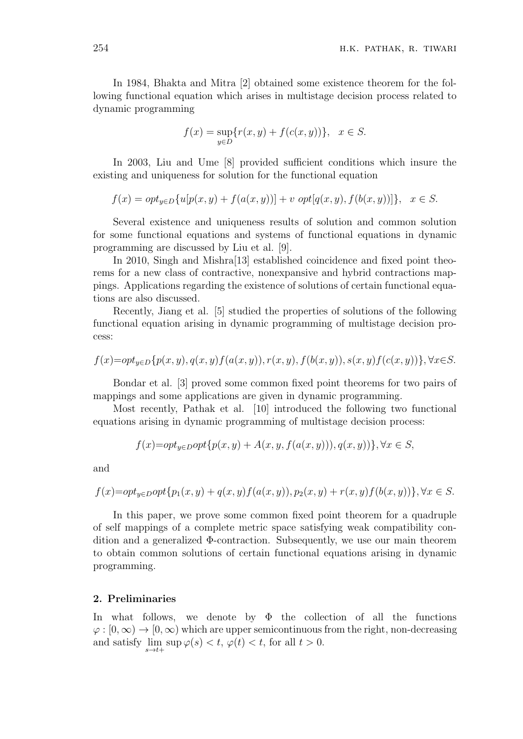In 1984, Bhakta and Mitra [2] obtained some existence theorem for the following functional equation which arises in multistage decision process related to dynamic programming

$$
f(x) = \sup_{y \in D} \{ r(x, y) + f(c(x, y)) \}, \quad x \in S.
$$

In 2003, Liu and Ume [8] provided sufficient conditions which insure the existing and uniqueness for solution for the functional equation

$$
f(x) = opt_{y \in D} \{ u[p(x, y) + f(a(x, y))] + v \ opt[q(x, y), f(b(x, y))] \}, \quad x \in S.
$$

Several existence and uniqueness results of solution and common solution for some functional equations and systems of functional equations in dynamic programming are discussed by Liu et al. [9].

In 2010, Singh and Mishra[13] established coincidence and fixed point theorems for a new class of contractive, nonexpansive and hybrid contractions mappings. Applications regarding the existence of solutions of certain functional equations are also discussed.

Recently, Jiang et al. [5] studied the properties of solutions of the following functional equation arising in dynamic programming of multistage decision process:

$$
f(x)= opt_{y\in D} \{p(x,y), q(x,y)f(a(x,y)), r(x,y), f(b(x,y)), s(x,y)f(c(x,y))\}, \forall x \in S.
$$

Bondar et al. [3] proved some common fixed point theorems for two pairs of mappings and some applications are given in dynamic programming.

Most recently, Pathak et al. [10] introduced the following two functional equations arising in dynamic programming of multistage decision process:

$$
f(x)= opt_{y\in D} opt{p(x, y) + A(x, y, f(a(x, y))), q(x, y))}, \forall x \in S,
$$

and

$$
f(x)= opt_{y\in D}opt{p_1(x,y)+q(x,y)f(a(x,y)),p_2(x,y)+r(x,y)f(b(x,y))\}, \forall x \in S.
$$

In this paper, we prove some common fixed point theorem for a quadruple of self mappings of a complete metric space satisfying weak compatibility condition and a generalized Φ-contraction. Subsequently, we use our main theorem to obtain common solutions of certain functional equations arising in dynamic programming.

### **2. Preliminaries**

In what follows, we denote by  $\Phi$  the collection of all the functions  $\varphi$ :  $[0, \infty) \to [0, \infty)$  which are upper semicontinuous from the right, non-decreasing and satisfy  $\lim_{s \to t+} \sup \varphi(s) < t$ ,  $\varphi(t) < t$ , for all  $t > 0$ .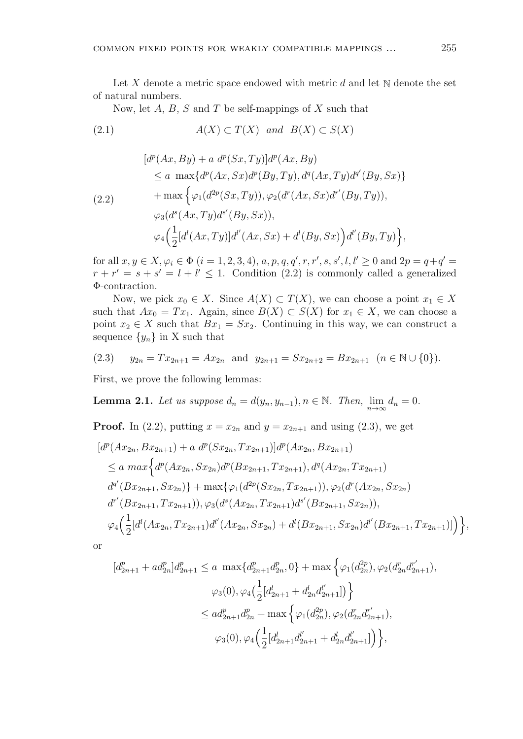Let *X* denote a metric space endowed with metric *d* and let N denote the set of natural numbers.

Now, let *A*, *B*, *S* and *T* be self-mappings of *X* such that

(2.1) 
$$
A(X) \subset T(X)
$$
 and  $B(X) \subset S(X)$ 

$$
[d^{p}(Ax, By) + a d^{p}(Sx, Ty)]d^{p}(Ax, By)
$$
  
\n
$$
\le a \max\{d^{p}(Ax, Sx)d^{p}(By, Ty), d^{q}(Ax, Ty)d^{q'}(By, Sx)\}
$$
  
\n
$$
+ \max \left\{ \varphi_{1}(d^{2p}(Sx, Ty)), \varphi_{2}(d^{r}(Ax, Sx)d^{r'}(By, Ty)),
$$
  
\n
$$
\varphi_{3}(d^{s}(Ax, Ty)d^{s'}(By, Sx)),
$$
  
\n
$$
\varphi_{4}(\frac{1}{2}[d^{l}(Ax, Ty)]d^{l'}(Ax, Sx) + d^{l}(By, Sx))d^{l'}(By, Ty) \right\},
$$

for all  $x, y \in X, \varphi_i \in \Phi$   $(i = 1, 2, 3, 4), a, p, q, q', r, r', s, s', l, l' \ge 0$  and  $2p = q + q' =$  $r + r' = s + s' = l + l' \leq 1$ . Condition (2.2) is commonly called a generalized Φ-contraction.

Now, we pick  $x_0 \in X$ . Since  $A(X) \subset T(X)$ , we can choose a point  $x_1 \in X$ such that  $Ax_0 = Tx_1$ . Again, since  $B(X) \subset S(X)$  for  $x_1 \in X$ , we can choose a point  $x_2 \in X$  such that  $Bx_1 = Sx_2$ . Continuing in this way, we can construct a sequence  $\{y_n\}$  in X such that

$$
(2.3) \t y_{2n} = Tx_{2n+1} = Ax_{2n} \text{ and } y_{2n+1} = Sx_{2n+2} = Bx_{2n+1} \quad (n \in \mathbb{N} \cup \{0\}).
$$

First, we prove the following lemmas:

**Lemma 2.1.** Let us suppose 
$$
d_n = d(y_n, y_{n-1}), n \in \mathbb{N}
$$
. Then,  $\lim_{n \to \infty} d_n = 0$ .

**Proof.** In (2.2), putting  $x = x_{2n}$  and  $y = x_{2n+1}$  and using (2.3), we get

$$
[d^{p}(Ax_{2n}, Bx_{2n+1}) + a d^{p}(Sx_{2n}, Tx_{2n+1})]d^{p}(Ax_{2n}, Bx_{2n+1})
$$
  
\n
$$
\le a \max \Big\{ d^{p}(Ax_{2n}, Sx_{2n})d^{p}(Bx_{2n+1}, Tx_{2n+1}), d^{q}(Ax_{2n}, Tx_{2n+1})
$$
  
\n
$$
d^{q'}(Bx_{2n+1}, Sx_{2n})\Big\} + \max \{ \varphi_{1}(d^{2p}(Sx_{2n}, Tx_{2n+1})), \varphi_{2}(d^{r}(Ax_{2n}, Sx_{2n}))
$$
  
\n
$$
d^{r'}(Bx_{2n+1}, Tx_{2n+1})), \varphi_{3}(d^{s}(Ax_{2n}, Tx_{2n+1})d^{s'}(Bx_{2n+1}, Sx_{2n})),
$$
  
\n
$$
\varphi_{4}(\frac{1}{2}[d^{l}(Ax_{2n}, Tx_{2n+1})d^{l'}(Ax_{2n}, Sx_{2n}) + d^{l}(Bx_{2n+1}, Sx_{2n})d^{l'}(Bx_{2n+1}, Tx_{2n+1})]\Big)\Big\},
$$

or

$$
[d_{2n+1}^{p} + ad_{2n}^{p}]d_{2n+1}^{p} \le a \max\{d_{2n+1}^{p}d_{2n}^{p}, 0\} + \max\left\{\varphi_{1}(d_{2n}^{2p}), \varphi_{2}(d_{2n}^{r}d_{2n+1}^{r'}),
$$
  

$$
\varphi_{3}(0), \varphi_{4}\left(\frac{1}{2}[d_{2n+1}^{l} + d_{2n}^{l}d_{2n+1}^{l'}])\right\}
$$
  

$$
\le ad_{2n+1}^{p}d_{2n}^{p} + \max\left\{\varphi_{1}(d_{2n}^{2p}), \varphi_{2}(d_{2n}^{r}d_{2n+1}^{r'}),
$$
  

$$
\varphi_{3}(0), \varphi_{4}\left(\frac{1}{2}[d_{2n+1}^{l}d_{2n+1}^{l'} + d_{2n}^{l}d_{2n+1}^{l'}])\right\},
$$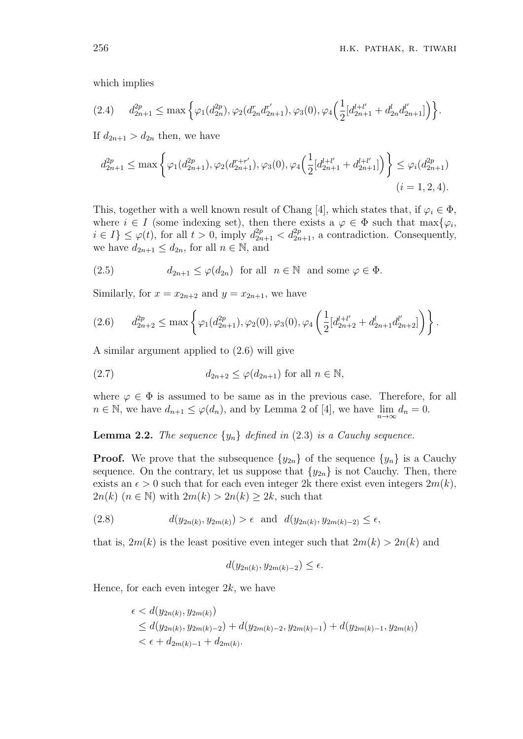which implies

$$
(2.4) \t d_{2n+1}^{2p} \le \max\left\{\varphi_1(d_{2n}^{2p}), \varphi_2(d_{2n}^r d_{2n+1}^{r'}), \varphi_3(0), \varphi_4\left(\frac{1}{2}[d_{2n+1}^{l+l'} + d_{2n}^l d_{2n+1}^{l'}]\right)\right\}.
$$

If  $d_{2n+1} > d_{2n}$  then, we have

$$
d_{2n+1}^{2p} \le \max\left\{\varphi_1(d_{2n+1}^{2p}), \varphi_2(d_{2n+1}^{r+r'}), \varphi_3(0), \varphi_4\left(\frac{1}{2}[d_{2n+1}^{l+l'} + d_{2n+1}^{l+l'}]\right)\right\} \le \varphi_i(d_{2n+1}^{2p})
$$
  
(*i* = 1, 2, 4).

This, together with a well known result of Chang [4], which states that, if  $\varphi_i \in \Phi$ , where  $i \in I$  (some indexing set), then there exists a  $\varphi \in \Phi$  such that  $\max{\varphi_i}$ ,  $i \in I$   $\leq \varphi(t)$ , for all  $t > 0$ , imply  $d_{2n+1}^{2p} < d_{2n+1}^{2p}$ , a contradiction. Consequently, we have  $d_{2n+1} \leq d_{2n}$ , for all  $n \in \mathbb{N}$ , and

(2.5) 
$$
d_{2n+1} \le \varphi(d_{2n}) \text{ for all } n \in \mathbb{N} \text{ and some } \varphi \in \Phi.
$$

Similarly, for  $x = x_{2n+2}$  and  $y = x_{2n+1}$ , we have

$$
(2.6) \t d_{2n+2}^{2p} \le \max\left\{ \varphi_1(d_{2n+1}^{2p}), \varphi_2(0), \varphi_3(0), \varphi_4\left(\frac{1}{2}[d_{2n+2}^{l+l'} + d_{2n+1}^{l'}d_{2n+2}^{l'}]\right) \right\}.
$$

A similar argument applied to (2.6) will give

$$
(2.7) \t\t d_{2n+2} \le \varphi(d_{2n+1}) \text{ for all } n \in \mathbb{N},
$$

where  $\varphi \in \Phi$  is assumed to be same as in the previous case. Therefore, for all  $n \in \mathbb{N}$ , we have  $d_{n+1} \leq \varphi(d_n)$ , and by Lemma 2 of [4], we have  $\lim_{n \to \infty} d_n = 0$ .

**Lemma 2.2.** *The sequence*  $\{y_n\}$  *defined in* (2.3) *is a Cauchy sequence.* 

**Proof.** We prove that the subsequence  $\{y_{2n}\}$  of the sequence  $\{y_n\}$  is a Cauchy sequence. On the contrary, let us suppose that  $\{y_{2n}\}\$ is not Cauchy. Then, there exists an  $\epsilon > 0$  such that for each even integer 2k there exist even integers  $2m(k)$ , 2*n*(*k*) (*n*  $\in$  N) with 2*m*(*k*)  $>$  2*n*(*k*)  $\geq$  2*k*, such that

(2.8) 
$$
d(y_{2n(k)}, y_{2m(k)}) > \epsilon \text{ and } d(y_{2n(k)}, y_{2m(k)-2}) \le \epsilon,
$$

that is,  $2m(k)$  is the least positive even integer such that  $2m(k) > 2n(k)$  and

$$
d(y_{2n(k)}, y_{2m(k)-2}) \le \epsilon.
$$

Hence, for each even integer 2*k*, we have

$$
\epsilon < d(y_{2n(k)}, y_{2m(k)})
$$
\n
$$
\leq d(y_{2n(k)}, y_{2m(k)-2}) + d(y_{2m(k)-2}, y_{2m(k)-1}) + d(y_{2m(k)-1}, y_{2m(k)})
$$
\n
$$
< \epsilon + d_{2m(k)-1} + d_{2m(k)}.
$$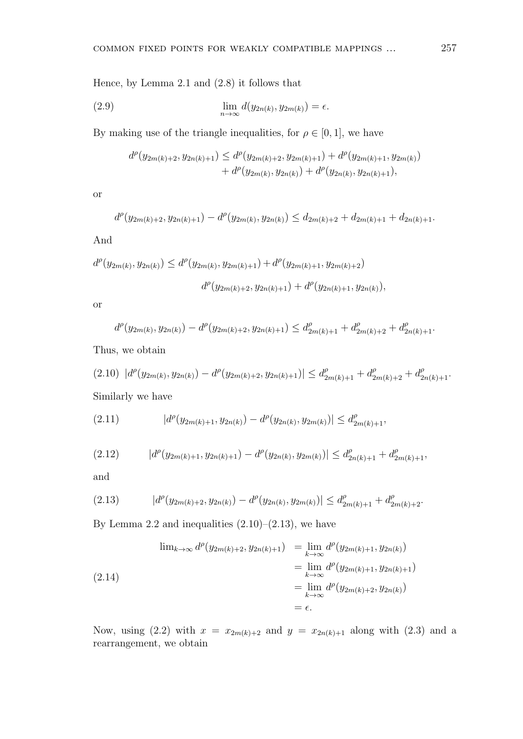Hence, by Lemma 2.1 and (2.8) it follows that

(2.9) 
$$
\lim_{n \to \infty} d(y_{2n(k)}, y_{2m(k)}) = \epsilon.
$$

By making use of the triangle inequalities, for  $\rho \in [0, 1]$ , we have

$$
d^{\rho}(y_{2m(k)+2}, y_{2n(k)+1}) \leq d^{\rho}(y_{2m(k)+2}, y_{2m(k)+1}) + d^{\rho}(y_{2m(k)+1}, y_{2m(k)}) + d^{\rho}(y_{2m(k)}, y_{2n(k)}) + d^{\rho}(y_{2n(k)}, y_{2n(k)+1}),
$$

or

$$
d^{\rho}(y_{2m(k)+2}, y_{2n(k)+1}) - d^{\rho}(y_{2m(k)}, y_{2n(k)}) \leq d_{2m(k)+2} + d_{2m(k)+1} + d_{2n(k)+1}.
$$

And

$$
d^{\rho}(y_{2m(k)}, y_{2n(k)}) \le d^{\rho}(y_{2m(k)}, y_{2m(k)+1}) + d^{\rho}(y_{2m(k)+1}, y_{2m(k)+2})
$$
  

$$
d^{\rho}(y_{2m(k)+2}, y_{2n(k)+1}) + d^{\rho}(y_{2n(k)+1}, y_{2n(k)}),
$$

or

$$
d^{\rho}(y_{2m(k)}, y_{2n(k)}) - d^{\rho}(y_{2m(k)+2}, y_{2n(k)+1}) \leq d^{\rho}_{2m(k)+1} + d^{\rho}_{2m(k)+2} + d^{\rho}_{2n(k)+1}.
$$

Thus, we obtain

$$
(2.10) |d^{\rho}(y_{2m(k)}, y_{2n(k)}) - d^{\rho}(y_{2m(k)+2}, y_{2n(k)+1})| \leq d^{\rho}_{2m(k)+1} + d^{\rho}_{2m(k)+2} + d^{\rho}_{2n(k)+1}.
$$

Similarly we have

(2.11) 
$$
|d^{\rho}(y_{2m(k)+1}, y_{2n(k)}) - d^{\rho}(y_{2n(k)}, y_{2m(k)})| \leq d^{\rho}_{2m(k)+1},
$$

$$
(2.12) \t |d^{\rho}(y_{2m(k)+1}, y_{2n(k)+1}) - d^{\rho}(y_{2n(k)}, y_{2m(k)})| \leq d^{\rho}_{2n(k)+1} + d^{\rho}_{2m(k)+1},
$$

and

$$
(2.13) \t |d^{\rho}(y_{2m(k)+2}, y_{2n(k)}) - d^{\rho}(y_{2n(k)}, y_{2m(k)})| \leq d^{\rho}_{2m(k)+1} + d^{\rho}_{2m(k)+2}.
$$

By Lemma 2.2 and inequalities  $(2.10)$ – $(2.13)$ , we have

$$
\lim_{k \to \infty} d^{\rho}(y_{2m(k)+2}, y_{2n(k)+1}) = \lim_{k \to \infty} d^{\rho}(y_{2m(k)+1}, y_{2n(k)})
$$
  
=  $\lim_{k \to \infty} d^{\rho}(y_{2m(k)+1}, y_{2n(k)+1})$   
=  $\lim_{k \to \infty} d^{\rho}(y_{2m(k)+2}, y_{2n(k)})$   
=  $\epsilon$ .

Now, using (2.2) with  $x = x_{2m(k)+2}$  and  $y = x_{2n(k)+1}$  along with (2.3) and a rearrangement, we obtain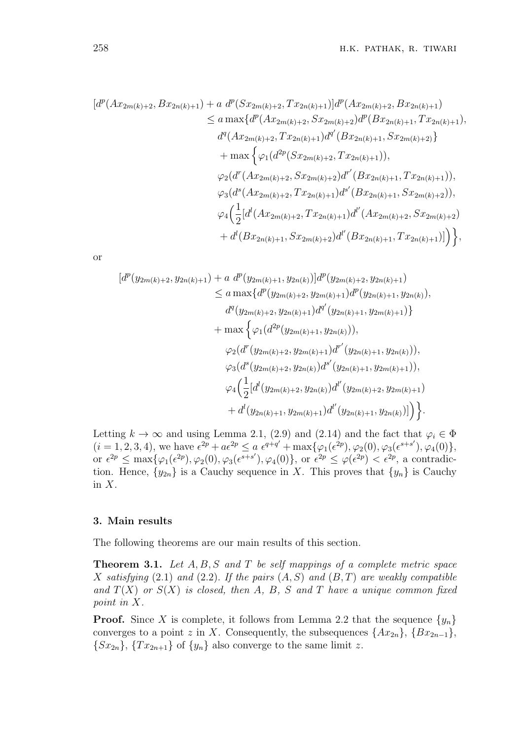$$
[d^{p}(Ax_{2m(k)+2}, Bx_{2n(k)+1}) + a d^{p}(Sx_{2m(k)+2}, Tx_{2n(k)+1})]d^{p}(Ax_{2m(k)+2}, Bx_{2n(k)+1})
$$
  
\n
$$
\le a \max\{d^{p}(Ax_{2m(k)+2}, Sx_{2m(k)+2})d^{p}(Bx_{2n(k)+1}, Tx_{2n(k)+1}),
$$
  
\n
$$
d^{q}(Ax_{2m(k)+2}, Tx_{2n(k)+1})d^{q'}(Bx_{2n(k)+1}, Sx_{2m(k)+2})\}
$$
  
\n
$$
+ \max\{\varphi_{1}(d^{2p}(Sx_{2m(k)+2}, Tx_{2n(k)+1})),
$$
  
\n
$$
\varphi_{2}(d^{r}(Ax_{2m(k)+2}, Sx_{2m(k)+2})d^{r'}(Bx_{2n(k)+1}, Tx_{2n(k)+1})),
$$
  
\n
$$
\varphi_{3}(d^{s}(Ax_{2m(k)+2}, Tx_{2n(k)+1})d^{s'}(Bx_{2n(k)+1}, Sx_{2m(k)+2})),
$$
  
\n
$$
\varphi_{4}(\frac{1}{2}[d^{l}(Ax_{2m(k)+2}, Tx_{2n(k)+1})d^{l'}(Ax_{2m(k)+2}, Sx_{2m(k)+2}) + d^{l}(Bx_{2n(k)+1}, Sx_{2m(k)+2})d^{l'}(Bx_{2n(k)+1}, Tx_{2n(k)+1})]\},
$$

or

$$
[d^{p}(y_{2m(k)+2}, y_{2n(k)+1}) + a d^{p}(y_{2m(k)+1}, y_{2n(k)})]d^{p}(y_{2m(k)+2}, y_{2n(k)+1})
$$
  
\n
$$
\le a \max \{d^{p}(y_{2m(k)+2}, y_{2m(k)+1})d^{p}(y_{2n(k)+1}, y_{2n(k)}),
$$
  
\n
$$
d^{q}(y_{2m(k)+2}, y_{2n(k)+1})d^{q'}(y_{2n(k)+1}, y_{2m(k)+1})\}
$$
  
\n
$$
+ \max \{ \varphi_{1}(d^{2p}(y_{2m(k)+1}, y_{2n(k)})),
$$
  
\n
$$
\varphi_{2}(d^{r}(y_{2m(k)+2}, y_{2m(k)+1})d^{r'}(y_{2n(k)+1}, y_{2n(k)})),
$$
  
\n
$$
\varphi_{3}(d^{s}(y_{2m(k)+2}, y_{2n(k)})d^{s'}(y_{2n(k)+1}, y_{2m(k)+1})),
$$
  
\n
$$
\varphi_{4}(\frac{1}{2}[d^{l}(y_{2m(k)+2}, y_{2n(k)})d^{l'}(y_{2m(k)+2}, y_{2m(k)+1})
$$
  
\n
$$
+ d^{l}(y_{2n(k)+1}, y_{2m(k)+1})d^{l'}(y_{2n(k)+1}, y_{2n(k)})]\}.
$$

Letting  $k \to \infty$  and using Lemma 2.1, (2.9) and (2.14) and the fact that  $\varphi_i \in \Phi$  $(i = 1, 2, 3, 4)$ , we have  $\epsilon^{2p} + a\epsilon^{2p} \le a \epsilon^{q+q'} + \max{\{\varphi_1(\epsilon^{2p}), \varphi_2(0), \varphi_3(\epsilon^{s+s'}), \varphi_4(0)\}},$ or  $\epsilon^{2p} \le \max{\{\varphi_1(\epsilon^{2p}), \varphi_2(0), \varphi_3(\epsilon^{s+s'}), \varphi_4(0)\}},$  or  $\epsilon^{2p} \le \varphi(\epsilon^{2p}) < \epsilon^{2p}$ , a contradiction. Hence,  $\{y_{2n}\}$  is a Cauchy sequence in *X*. This proves that  $\{y_n\}$  is Cauchy in *X*.

### **3. Main results**

The following theorems are our main results of this section.

**Theorem 3.1.** *Let A, B, S and T be self mappings of a complete metric space X satisfying* (2*.*1) *and* (2*.*2)*. If the pairs* (*A, S*) *and* (*B, T*) *are weakly compatible and*  $T(X)$  *or*  $S(X)$  *is closed, then A, B, S and T have a unique common fixed point in X.*

**Proof.** Since *X* is complete, it follows from Lemma 2.2 that the sequence  $\{y_n\}$ converges to a point *z* in *X*. Consequently, the subsequences  $\{Ax_{2n}\}, \{Bx_{2n-1}\},\$  ${Sx_{2n}}$ ,  ${Tx_{2n+1}}$  of  ${y_n}$  also converge to the same limit *z*.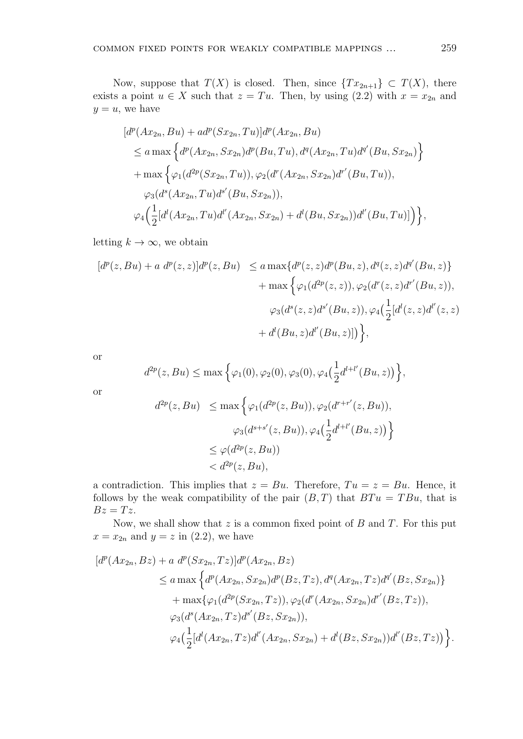Now, suppose that  $T(X)$  is closed. Then, since  $\{Tx_{2n+1}\} \subset T(X)$ , there exists a point  $u \in X$  such that  $z = Tu$ . Then, by using (2.2) with  $x = x_{2n}$  and  $y = u$ , we have

$$
[d^{p}(Ax_{2n}, Bu) + ad^{p}(Sx_{2n}, Tu)]d^{p}(Ax_{2n}, Bu)
$$
  
\n
$$
\le a \max \left\{ d^{p}(Ax_{2n}, Sx_{2n})d^{p}(Bu, Tu), d^{q}(Ax_{2n}, Tu)d^{q'}(Bu, Sx_{2n}) \right\}
$$
  
\n
$$
+ \max \left\{ \varphi_{1}(d^{2p}(Sx_{2n}, Tu)), \varphi_{2}(d^{r}(Ax_{2n}, Sx_{2n})d^{r'}(Bu, Tu)),
$$
  
\n
$$
\varphi_{3}(d^{s}(Ax_{2n}, Tu)d^{s'}(Bu, Sx_{2n})),
$$
  
\n
$$
\varphi_{4}(\frac{1}{2}[d^{l}(Ax_{2n}, Tu)d^{l'}(Ax_{2n}, Sx_{2n}) + d^{l}(Bu, Sx_{2n}))d^{l'}(Bu, Tu)] \right\},
$$

letting  $k \to \infty$ , we obtain

$$
[d^{p}(z, Bu) + a d^{p}(z, z)]d^{p}(z, Bu) \le a \max\{d^{p}(z, z)d^{p}(Bu, z), d^{q}(z, z)d^{q'}(Bu, z)\} + \max\{\varphi_{1}(d^{2p}(z, z)), \varphi_{2}(d^{r}(z, z)d^{r'}(Bu, z)), \varphi_{3}(d^{s}(z, z)d^{s'}(Bu, z)), \varphi_{4}(\frac{1}{2}[d^{l}(z, z)d^{l'}(z, z) + d^{l}(Bu, z)d^{l'}(Bu, z)])\},
$$

or

$$
d^{2p}(z, Bu) \le \max\left\{\varphi_1(0), \varphi_2(0), \varphi_3(0), \varphi_4\left(\frac{1}{2}d^{l+l'}(Bu, z)\right)\right\},\,
$$

or

$$
d^{2p}(z, Bu) \le \max \left\{ \varphi_1(d^{2p}(z, Bu)), \varphi_2(d^{r+r'}(z, Bu)),
$$
  

$$
\varphi_3(d^{s+s'}(z, Bu)), \varphi_4(\frac{1}{2}d^{l+l'}(Bu, z)) \right\}
$$
  

$$
\le \varphi(d^{2p}(z, Bu))
$$
  

$$
< d^{2p}(z, Bu),
$$

a contradiction. This implies that  $z = Bu$ . Therefore,  $Tu = z = Bu$ . Hence, it follows by the weak compatibility of the pair  $(B, T)$  that  $BTu = TBu$ , that is  $Bz = Tz$ .

Now, we shall show that *z* is a common fixed point of *B* and *T*. For this put  $x = x_{2n}$  and  $y = z$  in (2.2), we have

$$
[d^{p}(Ax_{2n}, Bz) + a d^{p}(Sx_{2n}, Tz)]d^{p}(Ax_{2n}, Bz)
$$
  
\n
$$
\le a \max \left\{ d^{p}(Ax_{2n}, Sx_{2n})d^{p}(Bz, Tz), d^{q}(Ax_{2n}, Tz)d^{q'}(Bz, Sx_{2n}) \right\}
$$
  
\n
$$
+ \max \{ \varphi_{1}(d^{2p}(Sx_{2n}, Tz)), \varphi_{2}(d^{r}(Ax_{2n}, Sx_{2n})d^{r'}(Bz, Tz)),
$$
  
\n
$$
\varphi_{3}(d^{s}(Ax_{2n}, Tz)d^{s'}(Bz, Sx_{2n})),
$$
  
\n
$$
\varphi_{4}(\frac{1}{2}[d^{l}(Ax_{2n}, Tz)d^{l'}(Ax_{2n}, Sx_{2n}) + d^{l}(Bz, Sx_{2n}))d^{l'}(Bz, Tz)) \}.
$$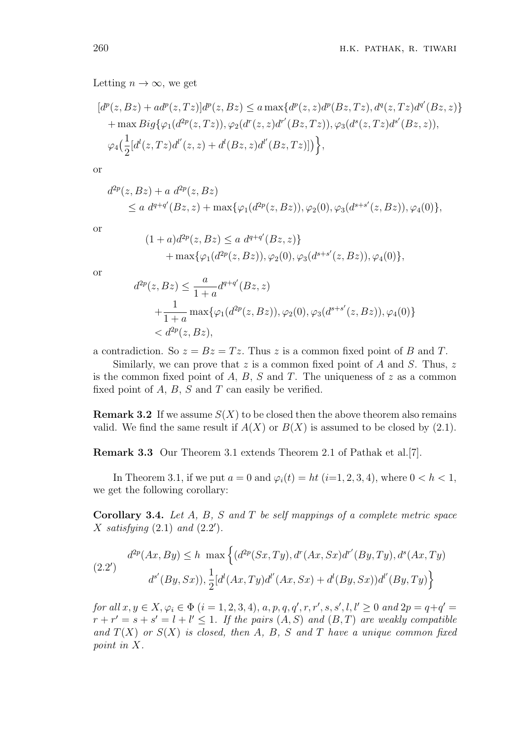Letting  $n \to \infty$ , we get

$$
[d^{p}(z, Bz) + ad^{p}(z, Tz)]d^{p}(z, Bz) \le a \max\{d^{p}(z, z)d^{p}(Bz, Tz), d^{q}(z, Tz)d^{q'}(Bz, z)\} + \max Big\{\varphi_{1}(d^{2p}(z, Tz)), \varphi_{2}(d^{r}(z, z)d^{r'}(Bz, Tz)), \varphi_{3}(d^{s}(z, Tz)d^{s'}(Bz, z)), \varphi_{4}(\frac{1}{2}[d^{l}(z, Tz)d^{l'}(z, z) + d^{l}(Bz, z)d^{l'}(Bz, Tz)])\},
$$

or

$$
d^{2p}(z, Bz) + a d^{2p}(z, Bz)
$$
  
\$\le a d^{q+q'}(Bz, z) + \max\{\varphi\_1(d^{2p}(z, Bz)), \varphi\_2(0), \varphi\_3(d^{s+s'}(z, Bz)), \varphi\_4(0)\},\$

or

$$
(1+a)d^{2p}(z, Bz) \le a d^{q+q'}(Bz, z) + \max{\varphi_1(d^{2p}(z, Bz)), \varphi_2(0), \varphi_3(d^{s+s'}(z, Bz)), \varphi_4(0)},
$$

or

$$
d^{2p}(z, Bz) \le \frac{a}{1+a} d^{q+q'}(Bz, z)
$$
  
+ 
$$
\frac{1}{1+a} \max{\{\varphi_1(d^{2p}(z, Bz)), \varphi_2(0), \varphi_3(d^{s+s'}(z, Bz)), \varphi_4(0)\}}
$$
  
< 
$$
< d^{2p}(z, Bz),
$$

a contradiction. So  $z = Bz = Tz$ . Thus z is a common fixed point of B and T.

Similarly, we can prove that *z* is a common fixed point of *A* and *S*. Thus, *z* is the common fixed point of *A*, *B*, *S* and *T*. The uniqueness of *z* as a common fixed point of *A*, *B*, *S* and *T* can easily be verified.

**Remark 3.2** If we assume  $S(X)$  to be closed then the above theorem also remains valid. We find the same result if  $A(X)$  or  $B(X)$  is assumed to be closed by (2.1).

**Remark 3.3** Our Theorem 3.1 extends Theorem 2.1 of Pathak et al.[7].

In Theorem 3.1, if we put  $a = 0$  and  $\varphi_i(t) = ht$  (*i*=1, 2, 3, 4), where  $0 < h < 1$ , we get the following corollary:

**Corollary 3.4.** *Let A, B, S and T be self mappings of a complete metric space X satisfying* (2*.*1) *and* (2*.*2 *′* )*.*

(2.2')  

$$
d^{2p}(Ax, By) \le h \max \left\{ (d^{2p}(Sx, Ty), d^{r}(Ax, Sx)d^{r'}(By, Ty), d^{s}(Ax, Ty)) \right\}
$$

$$
d^{s'}(By, Sx)), \frac{1}{2} [d^{l}(Ax, Ty)d^{l'}(Ax, Sx) + d^{l}(By, Sx))d^{l'}(By, Ty) \right\}
$$

for all  $x, y \in X, \varphi_i \in \Phi$   $(i = 1, 2, 3, 4), a, p, q, q', r, r', s, s', l, l' \ge 0$  and  $2p = q + q' =$  $r + r' = s + s' = l + l' \leq 1$ . If the pairs  $(A, S)$  and  $(B, T)$  are weakly compatible and  $T(X)$  *or*  $S(X)$  *is closed, then A, B, S and T have a unique common fixed point in X.*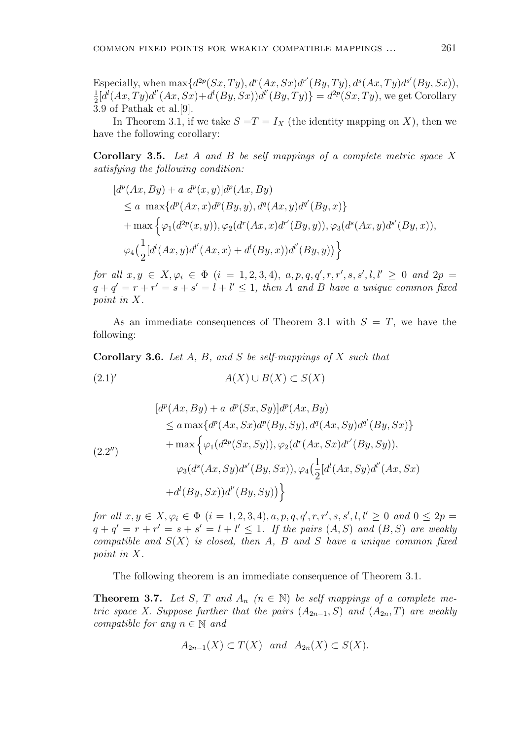Especially, when  $\max\{d^{2p}(Sx,Ty), d^{r}(Ax,Sx)d^{r'}(By,Ty), d^{s}(Ax,Ty)d^{s'}(By,Sx)\},$ 1  $\frac{1}{2}[d^{l}(Ax, Ty)d^{l'}(Ax, Sx)+d^{l}(By, Sx))d^{l'}(By, Ty)\} = d^{2p}(Sx, Ty)$ , we get Corollary 3.9 of Pathak et al.[9].

In Theorem 3.1, if we take  $S = T = I_X$  (the identity mapping on X), then we have the following corollary:

**Corollary 3.5.** *Let A and B be self mappings of a complete metric space X satisfying the following condition:*

$$
[d^{p}(Ax, By) + a d^{p}(x, y)]d^{p}(Ax, By)
$$
  
\n
$$
\le a \max\{d^{p}(Ax, x)d^{p}(By, y), d^{q}(Ax, y)d^{q'}(By, x)\}\
$$
  
\n
$$
+ \max \left\{ \varphi_{1}(d^{2p}(x, y)), \varphi_{2}(d^{r}(Ax, x)d^{r'}(By, y)), \varphi_{3}(d^{s}(Ax, y)d^{s'}(By, x)),
$$
  
\n
$$
\varphi_{4}(\frac{1}{2}[d^{l}(Ax, y)d^{l'}(Ax, x) + d^{l}(By, x))d^{l'}(By, y)) \right\}
$$

for all  $x, y \in X, \varphi_i \in \Phi$   $(i = 1, 2, 3, 4), a, p, q, q', r, r', s, s', l, l' \ge 0$  and  $2p =$  $q + q' = r + r' = s + s' = l + l' \leq 1$ , then *A* and *B* have a unique common fixed *point in X.*

As an immediate consequences of Theorem 3.1 with  $S = T$ , we have the following:

**Corollary 3.6.** *Let A, B, and S be self-mappings of X such that*

 $A(X) ∪ B(X) ⊂ S(X)$ 

$$
[d^{p}(Ax, By) + a d^{p}(Sx, Sy)]d^{p}(Ax, By)
$$
  
\n
$$
\le a \max\{d^{p}(Ax, Sx)d^{p}(By, Sy), d^{q}(Ax, Sy)d^{q'}(By, Sx)\}
$$
  
\n
$$
+ \max \left\{ \varphi_{1}(d^{2p}(Sx, Sy)), \varphi_{2}(d^{r}(Ax, Sx)d^{r'}(By, Sy)),
$$
  
\n
$$
\varphi_{3}(d^{s}(Ax, Sy)d^{s'}(By, Sx)), \varphi_{4}(\frac{1}{2}[d^{l}(Ax, Sy)d^{l'}(Ax, Sx)
$$
  
\n
$$
+ d^{l}(By, Sx))d^{l'}(By, Sy)) \right\}
$$

for all  $x, y \in X, \varphi_i \in \Phi$   $(i = 1, 2, 3, 4), a, p, q, q', r, r', s, s', l, l' \ge 0$  and  $0 \le 2p =$  $q + q' = r + r' = s + s' = l + l' \leq 1$ . If the pairs  $(A, S)$  and  $(B, S)$  are weakly *compatible and S*(*X*) *is closed, then A, B and S have a unique common fixed point in X.*

The following theorem is an immediate consequence of Theorem 3.1.

**Theorem 3.7.** Let *S*, *T* and  $A_n$  ( $n \in \mathbb{N}$ ) be self mappings of a complete me*tric space X. Suppose further that the pairs*  $(A_{2n-1}, S)$  *and*  $(A_{2n}, T)$  *are weakly compatible for any*  $n \in \mathbb{N}$  *and* 

$$
A_{2n-1}(X) \subset T(X) \quad and \quad A_{2n}(X) \subset S(X).
$$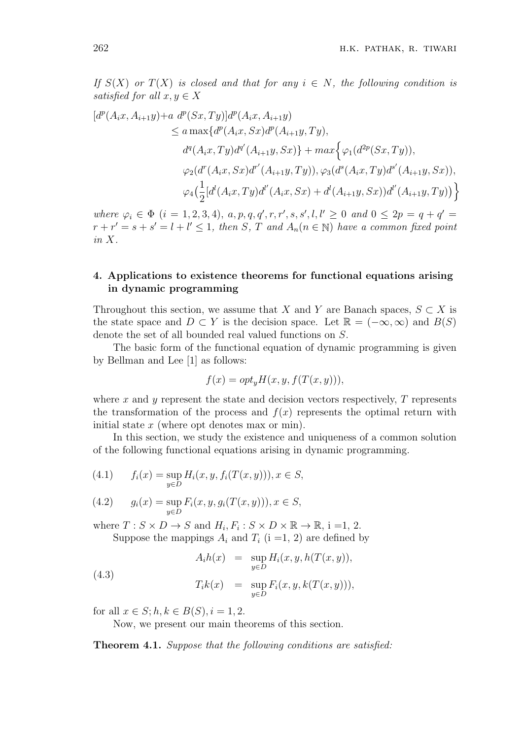*If*  $S(X)$  *or*  $T(X)$  *is closed and that for any*  $i \in N$ *, the following condition is satisfied for all*  $x, y \in X$ 

$$
[d^{p}(A_{i}x, A_{i+1}y)+a d^{p}(Sx, Ty)]d^{p}(A_{i}x, A_{i+1}y)
$$
  
\n
$$
\le a \max\{d^{p}(A_{i}x, Sx)d^{p}(A_{i+1}y, Ty),
$$
  
\n
$$
d^{q}(A_{i}x, Ty)d^{q'}(A_{i+1}y, Sx)\} + max\{\varphi_{1}(d^{2p}(Sx, Ty)),
$$
  
\n
$$
\varphi_{2}(d^{r}(A_{i}x, Sx)d^{r'}(A_{i+1}y, Ty)), \varphi_{3}(d^{s}(A_{i}x, Ty)d^{s'}(A_{i+1}y, Sx)),
$$
  
\n
$$
\varphi_{4}(\frac{1}{2}[d^{l}(A_{i}x, Ty)d^{l'}(A_{i}x, Sx) + d^{l}(A_{i+1}y, Sx))d^{l'}(A_{i+1}y, Ty))\}
$$

where  $\varphi_i \in \Phi$   $(i = 1, 2, 3, 4), a, p, q, q', r, r', s, s', l, l' \geq 0$  and  $0 \leq 2p = q + q' =$  $r + r' = s + s' = l + l' \leq 1$ , then *S*, *T* and  $A_n(n \in \mathbb{N})$  have a common fixed point *in X.*

# **4. Applications to existence theorems for functional equations arising in dynamic programming**

Throughout this section, we assume that *X* and *Y* are Banach spaces,  $S \subset X$  is the state space and  $D \subset Y$  is the decision space. Let  $\mathbb{R} = (-\infty, \infty)$  and  $B(S)$ denote the set of all bounded real valued functions on *S*.

The basic form of the functional equation of dynamic programming is given by Bellman and Lee [1] as follows:

$$
f(x) = opt_y H(x, y, f(T(x, y))),
$$

where *x* and *y* represent the state and decision vectors respectively, *T* represents the transformation of the process and  $f(x)$  represents the optimal return with initial state *x* (where opt denotes max or min).

In this section, we study the existence and uniqueness of a common solution of the following functional equations arising in dynamic programming.

(4.1) 
$$
f_i(x) = \sup_{y \in D} H_i(x, y, f_i(T(x, y))), x \in S,
$$

(4.2) 
$$
g_i(x) = \sup_{y \in D} F_i(x, y, g_i(T(x, y))), x \in S
$$
,

where  $T: S \times D \to S$  and  $H_i, F_i: S \times D \times \mathbb{R} \to \mathbb{R}, i =1, 2$ . Suppose the mappings  $A_i$  and  $T_i$  (i =1, 2) are defined by

$$
A_i h(x) = \sup_{y \in D} H_i(x, y, h(T(x, y)),
$$

$$
T_i k(x) = \sup_{y \in D} F_i(x, y, k(T(x, y))),
$$

for all  $x \in S$ ;  $h, k \in B(S)$ ,  $i = 1, 2$ .

(4*.*3)

Now, we present our main theorems of this section.

**Theorem 4.1.** *Suppose that the following conditions are satisfied:*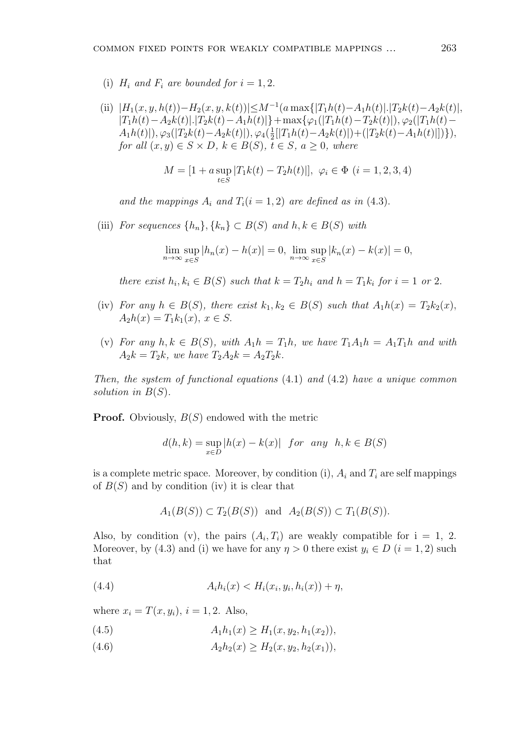(i)  $H_i$  and  $F_i$  are bounded for  $i = 1, 2$ .

(ii)  $|H_1(x, y, h(t)) - H_2(x, y, k(t))| \leq M^{-1}(a \max\{|T_1h(t) - A_1h(t)|, |T_2k(t) - A_2k(t)|,$  $|T_1h(t) - A_2k(t)|$ .  $|T_2k(t) - A_1h(t)|$  + max $\{\varphi_1(|T_1h(t) - T_2k(t)|), \varphi_2(|T_1h(t) A_1h(t)|), \varphi_3(|T_2k(t)-A_2k(t)|), \varphi_4(\frac{1}{2})$ 2 [*|T*1*h*(*t*)*−A*2*k*(*t*)*|*)+(*|T*2*k*(*t*)*−A*1*h*(*t*)*|*])*}*)*, for all*  $(x, y) \in S \times D$ *,*  $k \in B(S)$ *,*  $t \in S$ *,*  $a \geq 0$ *, where* 

$$
M = [1 + a \sup_{t \in S} |T_1 k(t) - T_2 h(t)|], \ \varphi_i \in \Phi \ (i = 1, 2, 3, 4)
$$

and the mappings  $A_i$  and  $T_i(i = 1, 2)$  are defined as in (4.3).

(iii) *For sequences*  $\{h_n\}$ ,  $\{k_n\} \subset B(S)$  *and*  $h, k \in B(S)$  *with* 

$$
\lim_{n \to \infty} \sup_{x \in S} |h_n(x) - h(x)| = 0, \ \lim_{n \to \infty} \sup_{x \in S} |k_n(x) - k(x)| = 0,
$$

there exist  $h_i, k_i \in B(S)$  such that  $k = T_2 h_i$  and  $h = T_1 k_i$  for  $i = 1$  or 2.

- (iv) *For any*  $h \in B(S)$ *, there exist*  $k_1, k_2 \in B(S)$  *such that*  $A_1h(x) = T_2k_2(x)$ *,*  $A_2h(x) = T_1k_1(x), x \in S.$
- (v) *For any*  $h, k \in B(S)$ *, with*  $A_1 h = T_1 h$ *, we have*  $T_1 A_1 h = A_1 T_1 h$  *and with*  $A_2k = T_2k$ *, we have*  $T_2A_2k = A_2T_2k$ *.*

*Then, the system of functional equations* (4*.*1) *and* (4*.*2) *have a unique common solution in B*(*S*)*.*

**Proof.** Obviously, *B*(*S*) endowed with the metric

$$
d(h,k) = \sup_{x \in D} |h(x) - k(x)| \text{ for any } h, k \in B(S)
$$

is a complete metric space. Moreover, by condition (i),  $A_i$  and  $T_i$  are self mappings of  $B(S)$  and by condition (iv) it is clear that

$$
A_1(B(S)) \subset T_2(B(S))
$$
 and  $A_2(B(S)) \subset T_1(B(S))$ .

Also, by condition (v), the pairs  $(A_i, T_i)$  are weakly compatible for  $i = 1, 2$ . Moreover, by (4.3) and (i) we have for any  $\eta > 0$  there exist  $y_i \in D$  ( $i = 1, 2$ ) such that

(4.4) 
$$
A_i h_i(x) < H_i(x_i, y_i, h_i(x)) + \eta,
$$

where  $x_i = T(x, y_i), i = 1, 2$ . Also,

- (4.5)  $A_1h_1(x) \geq H_1(x, y_2, h_1(x_2)),$
- (4.6)  $A_2h_2(x) \geq H_2(x, y_2, h_2(x_1)),$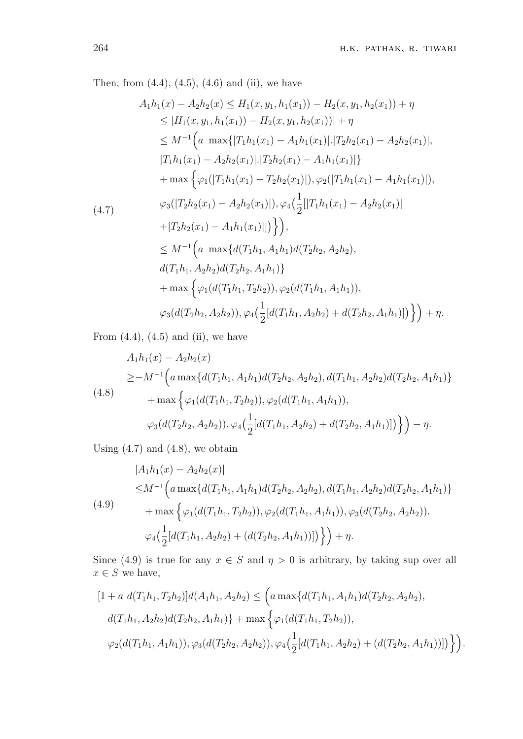Then, from  $(4.4)$ ,  $(4.5)$ ,  $(4.6)$  and  $(ii)$ , we have

$$
A_{1}h_{1}(x) - A_{2}h_{2}(x) \leq H_{1}(x, y_{1}, h_{1}(x_{1})) - H_{2}(x, y_{1}, h_{2}(x_{1})) + \eta
$$
  
\n
$$
\leq |H_{1}(x, y_{1}, h_{1}(x_{1})) - H_{2}(x, y_{1}, h_{2}(x_{1}))| + \eta
$$
  
\n
$$
\leq M^{-1} \Big(a \max\{|T_{1}h_{1}(x_{1}) - A_{1}h_{1}(x_{1})| |\langle T_{2}h_{2}(x_{1}) - A_{2}h_{2}(x_{1})|, |\langle T_{1}h_{1}(x_{1}) - A_{2}h_{2}(x_{1})| |\langle T_{2}h_{2}(x_{1}) - A_{1}h_{1}(x_{1})| \rangle \Big)
$$
  
\n
$$
+ \max \Big\{ \varphi_{1}(|T_{1}h_{1}(x_{1}) - T_{2}h_{2}(x_{1})|), \varphi_{2}(|T_{1}h_{1}(x_{1}) - A_{1}h_{1}(x_{1})|),
$$
  
\n
$$
\varphi_{3}(|T_{2}h_{2}(x_{1}) - A_{2}h_{2}(x_{1})|), \varphi_{4}(\frac{1}{2}(|T_{1}h_{1}(x_{1}) - A_{2}h_{2}(x_{1})| + |\langle T_{2}h_{2}(x_{1}) - A_{1}h_{1}(x_{1})| \rangle)\Big),
$$
  
\n
$$
\leq M^{-1} \Big(a \max\{d(\langle T_{1}h_{1}, A_{1}h_{1})d(\langle T_{2}h_{2}, A_{2}h_{2}),
$$
  
\n
$$
d(\langle T_{1}h_{1}, A_{2}h_{2})d(\langle T_{2}h_{2}, A_{1}h_{1}) \rangle \Big\}
$$
  
\n
$$
+ \max \Big\{ \varphi_{1}(d(\langle T_{1}h_{1}, T_{2}h_{2})), \varphi_{2}(d(\langle T_{1}h_{1}, A_{1}h_{1})),
$$
  
\n
$$
\varphi_{3}(d(\langle T_{2}h_{2}, A_{2}h_{2})), \varphi_{4}(\frac{1}{2}[d(\langle T_{1}h_{1}, A_{2}h_{2}) + d(\langle T_{2}h_{2}, A_{1}h_{1})| \rangle \Big)\Big\} + \eta.
$$

From  $(4.4)$ ,  $(4.5)$  and  $(ii)$ , we have

$$
A_1h_1(x) - A_2h_2(x)
$$
  
\n
$$
\geq -M^{-1} \Big( a \max \{ d(T_1h_1, A_1h_1) d(T_2h_2, A_2h_2), d(T_1h_1, A_2h_2) d(T_2h_2, A_1h_1) \} + \max \Big\{ \varphi_1(d(T_1h_1, T_2h_2)), \varphi_2(d(T_1h_1, A_1h_1)),
$$
  
\n
$$
\varphi_3(d(T_2h_2, A_2h_2)), \varphi_4(\frac{1}{2}[d(T_1h_1, A_2h_2) + d(T_2h_2, A_1h_1)]) \Big\} \Big) - \eta.
$$

Using  $(4.7)$  and  $(4.8)$ , we obtain

$$
|A_1h_1(x) - A_2h_2(x)|
$$
  
\n
$$
\leq M^{-1} \Big( a \max \{ d(T_1h_1, A_1h_1) d(T_2h_2, A_2h_2), d(T_1h_1, A_2h_2) d(T_2h_2, A_1h_1) \} + \max \Big\{ \varphi_1(d(T_1h_1, T_2h_2)), \varphi_2(d(T_1h_1, A_1h_1)), \varphi_3(d(T_2h_2, A_2h_2)),
$$
  
\n
$$
\varphi_4\Big(\frac{1}{2}[d(T_1h_1, A_2h_2) + (d(T_2h_2, A_1h_1))]\Big) \Big\} + \eta.
$$

Since (4.9) is true for any  $x \in S$  and  $\eta > 0$  is arbitrary, by taking sup over all  $x \in S$  we have,

$$
[1 + a \ d(T_1h_1, T_2h_2)]d(A_1h_1, A_2h_2) \leq (a \max\{d(T_1h_1, A_1h_1)d(T_2h_2, A_2h_2),
$$
  

$$
d(T_1h_1, A_2h_2)d(T_2h_2, A_1h_1)\} + \max\left\{\varphi_1(d(T_1h_1, T_2h_2)),
$$
  

$$
\varphi_2(d(T_1h_1, A_1h_1)), \varphi_3(d(T_2h_2, A_2h_2)), \varphi_4(\frac{1}{2}[d(T_1h_1, A_2h_2) + (d(T_2h_2, A_1h_1))])\right\}\right).
$$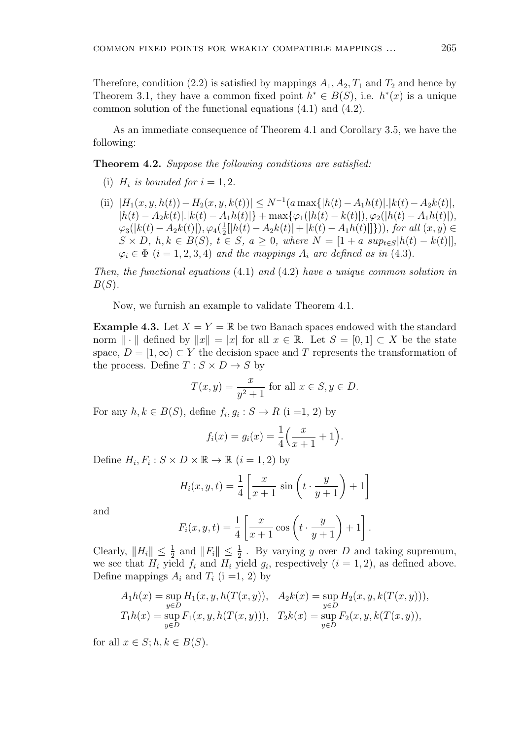Therefore, condition (2.2) is satisfied by mappings  $A_1, A_2, T_1$  and  $T_2$  and hence by Theorem 3.1, they have a common fixed point  $h^* \in B(S)$ , i.e.  $h^*(x)$  is a unique common solution of the functional equations (4.1) and (4.2).

As an immediate consequence of Theorem 4.1 and Corollary 3.5, we have the following:

**Theorem 4.2.** *Suppose the following conditions are satisfied:*

- (i)  $H_i$  *is bounded for*  $i = 1, 2$ .
- (ii)  $|H_1(x, y, h(t)) H_2(x, y, k(t))| \le N^{-1}(a \max\{|h(t) A_1h(t)|\cdot |k(t) A_2k(t)|,$  $|h(t) - A_2k(t)|$ . $|k(t) - A_1h(t)|$ } + max $\{\varphi_1(|h(t) - k(t)|), \varphi_2(|h(t) - A_1h(t)|)\}$  $\varphi_3(|k(t) - A_2k(t)|), \varphi_4(\frac{1}{2})$  $\frac{1}{2}$ [|h(t) −  $A_2k(t)$ | + |k(t) −  $A_1h(t)$ |]}))*, for all* (*x, y*)  $\in$  $S \times D$ ,  $h, k \in B(S)$ ,  $t \in S$ ,  $a \ge 0$ , where  $N = \left[1 + a \sup_{t \in S} |h(t) - k(t)|\right]$ ,  $\varphi_i \in \Phi$  (*i* = 1*,* 2*,* 3*,* 4) *and the mappings*  $A_i$  *are defined as in* (4*.*3)*.*

*Then, the functional equations* (4*.*1) *and* (4*.*2) *have a unique common solution in B*(*S*)*.*

Now, we furnish an example to validate Theorem 4.1.

**Example 4.3.** Let  $X = Y = \mathbb{R}$  be two Banach spaces endowed with the standard norm  $\|\cdot\|$  defined by  $\|x\| = |x|$  for all  $x \in \mathbb{R}$ . Let  $S = [0,1] \subset X$  be the state space,  $D = [1, \infty) \subset Y$  the decision space and T represents the transformation of the process. Define  $T : S \times D \rightarrow S$  by

$$
T(x,y) = \frac{x}{y^2 + 1}
$$
 for all  $x \in S, y \in D$ .

For any  $h, k \in B(S)$ , define  $f_i, g_i : S \to R$  (i =1, 2) by

$$
f_i(x) = g_i(x) = \frac{1}{4} \left( \frac{x}{x+1} + 1 \right).
$$

Define  $H_i, F_i: S \times D \times \mathbb{R} \to \mathbb{R}$   $(i = 1, 2)$  by

$$
H_i(x, y, t) = \frac{1}{4} \left[ \frac{x}{x+1} \sin \left( t \cdot \frac{y}{y+1} \right) + 1 \right]
$$

and

$$
F_i(x, y, t) = \frac{1}{4} \left[ \frac{x}{x+1} \cos \left( t \cdot \frac{y}{y+1} \right) + 1 \right].
$$

Clearly,  $||H_i|| \leq \frac{1}{2}$  and  $||F_i|| \leq \frac{1}{2}$ . By varying *y* over *D* and taking supremum, we see that  $H_i$  yield  $f_i$  and  $H_i$  yield  $g_i$ , respectively  $(i = 1, 2)$ , as defined above. Define mappings  $A_i$  and  $T_i$  (i =1, 2) by

$$
A_1h(x) = \sup_{y \in D} H_1(x, y, h(T(x, y)), A_2k(x) = \sup_{y \in D} H_2(x, y, k(T(x, y))),
$$
  
\n
$$
T_1h(x) = \sup_{y \in D} F_1(x, y, h(T(x, y))), T_2k(x) = \sup_{y \in D} F_2(x, y, k(T(x, y)),
$$

for all  $x \in S$ ;  $h, k \in B(S)$ .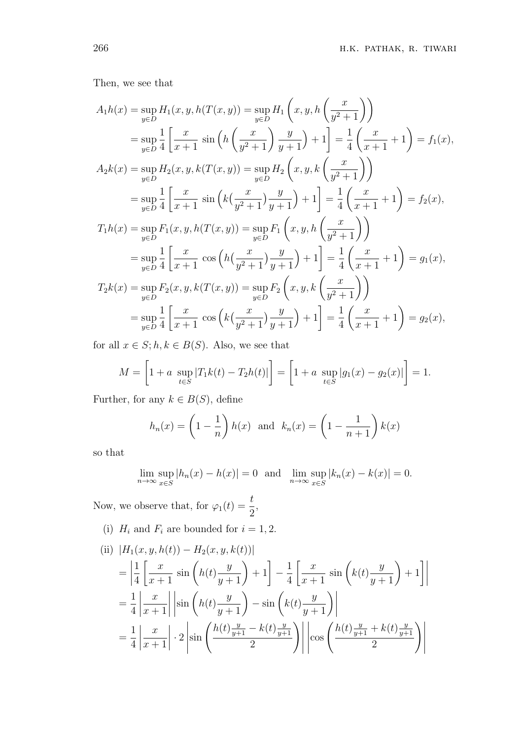Then, we see that

$$
A_1h(x) = \sup_{y \in D} H_1(x, y, h(T(x, y)) = \sup_{y \in D} H_1\left(x, y, h\left(\frac{x}{y^2 + 1}\right)\right)
$$
  
\n
$$
= \sup_{y \in D} \frac{1}{4} \left[ \frac{x}{x + 1} \sin\left(h\left(\frac{x}{y^2 + 1}\right) \frac{y}{y + 1}\right) + 1 \right] = \frac{1}{4} \left(\frac{x}{x + 1} + 1\right) = f_1(x),
$$
  
\n
$$
A_2k(x) = \sup_{y \in D} H_2(x, y, k(T(x, y)) = \sup_{y \in D} H_2\left(x, y, k\left(\frac{x}{y^2 + 1}\right)\right)
$$
  
\n
$$
= \sup_{y \in D} \frac{1}{4} \left[ \frac{x}{x + 1} \sin\left(k\left(\frac{x}{y^2 + 1}\right) \frac{y}{y + 1}\right) + 1 \right] = \frac{1}{4} \left(\frac{x}{x + 1} + 1\right) = f_2(x),
$$
  
\n
$$
T_1h(x) = \sup_{y \in D} F_1(x, y, h(T(x, y)) = \sup_{y \in D} F_1\left(x, y, h\left(\frac{x}{y^2 + 1}\right)\right)
$$
  
\n
$$
= \sup_{y \in D} \frac{1}{4} \left[ \frac{x}{x + 1} \cos\left(h\left(\frac{x}{y^2 + 1}\right) \frac{y}{y + 1}\right) + 1 \right] = \frac{1}{4} \left(\frac{x}{x + 1} + 1\right) = g_1(x),
$$
  
\n
$$
T_2k(x) = \sup_{y \in D} F_2(x, y, k(T(x, y)) = \sup_{y \in D} F_2\left(x, y, k\left(\frac{x}{y^2 + 1}\right)\right)
$$
  
\n
$$
= \sup_{y \in D} \frac{1}{4} \left[ \frac{x}{x + 1} \cos\left(k\left(\frac{x}{y^2 + 1}\right) \frac{y}{y + 1}\right) + 1 \right] = \frac{1}{4} \left(\frac{x}{x + 1} + 1\right) = g_2(x),
$$

for all  $x \in S; h, k \in B(S)$ . Also, we see that

$$
M = \left[1 + a \sup_{t \in S} |T_1 k(t) - T_2 h(t)|\right] = \left[1 + a \sup_{t \in S} |g_1(x) - g_2(x)|\right] = 1.
$$

Further, for any  $k \in B(S)$ , define

$$
h_n(x) = \left(1 - \frac{1}{n}\right)h(x) \text{ and } k_n(x) = \left(1 - \frac{1}{n+1}\right)k(x)
$$

so that

$$
\lim_{n \to \infty} \sup_{x \in S} |h_n(x) - h(x)| = 0 \text{ and } \lim_{n \to \infty} \sup_{x \in S} |k_n(x) - k(x)| = 0.
$$

Now, we observe that, for  $\varphi_1(t) = \frac{t}{2}$ ,

(i)  $H_i$  and  $F_i$  are bounded for  $i = 1, 2$ .

(ii) 
$$
|H_1(x, y, h(t)) - H_2(x, y, k(t))|
$$
  
\n
$$
= \left| \frac{1}{4} \left[ \frac{x}{x+1} \sin\left( h(t) \frac{y}{y+1} \right) + 1 \right] - \frac{1}{4} \left[ \frac{x}{x+1} \sin\left( k(t) \frac{y}{y+1} \right) + 1 \right] \right|
$$
\n
$$
= \frac{1}{4} \left| \frac{x}{x+1} \right| \left| \sin\left( h(t) \frac{y}{y+1} \right) - \sin\left( k(t) \frac{y}{y+1} \right) \right|
$$
\n
$$
= \frac{1}{4} \left| \frac{x}{x+1} \right| \cdot 2 \left| \sin\left( \frac{h(t) \frac{y}{y+1} - k(t) \frac{y}{y+1}}{2} \right) \right| \left| \cos\left( \frac{h(t) \frac{y}{y+1} + k(t) \frac{y}{y+1}}{2} \right) \right|
$$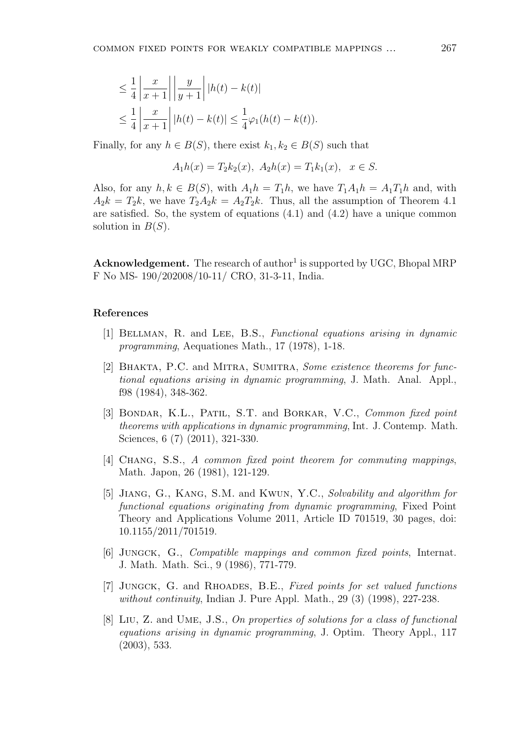$$
\leq \frac{1}{4} \left| \frac{x}{x+1} \right| \left| \frac{y}{y+1} \right| |h(t) - k(t)|
$$
  

$$
\leq \frac{1}{4} \left| \frac{x}{x+1} \right| |h(t) - k(t)| \leq \frac{1}{4} \varphi_1(h(t) - k(t)).
$$

Finally, for any  $h \in B(S)$ , there exist  $k_1, k_2 \in B(S)$  such that

$$
A_1h(x) = T_2k_2(x), A_2h(x) = T_1k_1(x), x \in S.
$$

Also, for any  $h, k \in B(S)$ , with  $A_1 h = T_1 h$ , we have  $T_1 A_1 h = A_1 T_1 h$  and, with  $A_2k = T_2k$ , we have  $T_2A_2k = A_2T_2k$ . Thus, all the assumption of Theorem 4.1 are satisfied. So, the system of equations (4.1) and (4.2) have a unique common solution in *B*(*S*).

Acknowledgement. The research of author<sup>1</sup> is supported by UGC, Bhopal MRP F No MS- 190/202008/10-11/ CRO, 31-3-11, India.

#### **References**

- [1] Bellman, R. and Lee, B.S., *Functional equations arising in dynamic programming*, Aequationes Math., 17 (1978), 1-18.
- [2] Bhakta, P.C. and Mitra, Sumitra, *Some existence theorems for functional equations arising in dynamic programming*, J. Math. Anal. Appl., f98 (1984), 348-362.
- [3] Bondar, K.L., Patil, S.T. and Borkar, V.C., *Common fixed point theorems with applications in dynamic programming*, Int. J. Contemp. Math. Sciences, 6 (7) (2011), 321-330.
- [4] Chang, S.S., *A common fixed point theorem for commuting mappings*, Math. Japon, 26 (1981), 121-129.
- [5] Jiang, G., Kang, S.M. and Kwun, Y.C., *Solvability and algorithm for functional equations originating from dynamic programming*, Fixed Point Theory and Applications Volume 2011, Article ID 701519, 30 pages, doi: 10.1155/2011/701519.
- [6] Jungck, G., *Compatible mappings and common fixed points*, Internat. J. Math. Math. Sci., 9 (1986), 771-779.
- [7] Jungck, G. and Rhoades, B.E., *Fixed points for set valued functions without continuity*, Indian J. Pure Appl. Math., 29 (3) (1998), 227-238.
- [8] Liu, Z. and Ume, J.S., *On properties of solutions for a class of functional equations arising in dynamic programming*, J. Optim. Theory Appl., 117 (2003), 533.